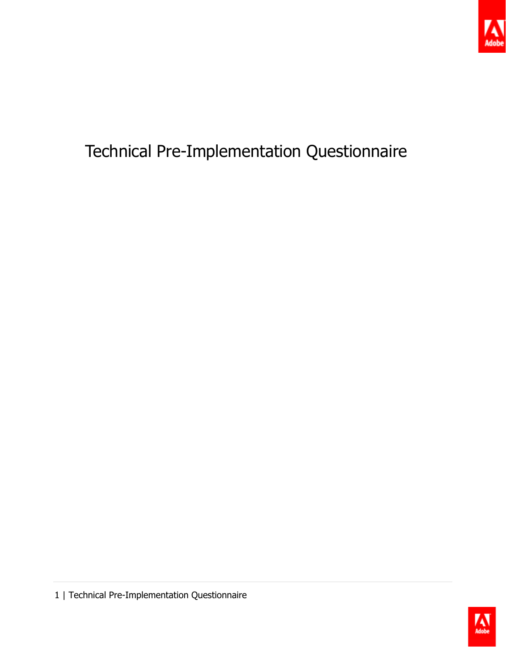

## Technical Pre-Implementation Questionnaire

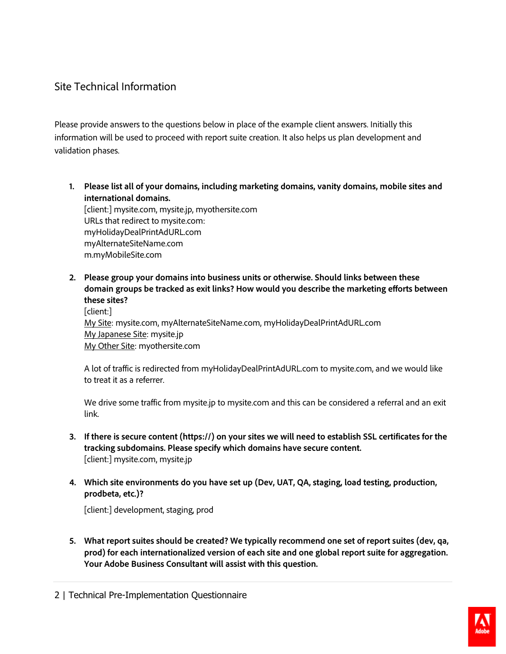## Site Technical Information

Please provide answers to the questions below in place of the example client answers. Initially this information will be used to proceed with report suite creation. It also helps us plan development and validation phases.

**1. Please list all of your domains, including marketing domains, vanity domains, mobile sites and international domains.**

[client:] mysite.com, mysite.jp, myothersite.com URLs that redirect to mysite.com: myHolidayDealPrintAdURL.com myAlternateSiteName.com m.myMobileSite.com

**2. Please group your domains into business units or otherwise. Should links between these domain groups be tracked as exit links? How would you describe the marketing efforts between these sites?** [client:] My Site: mysite.com, myAlternateSiteName.com, myHolidayDealPrintAdURL.com My Japanese Site: mysite.jp

My Other Site: myothersite.com

A lot of traffic is redirected from myHolidayDealPrintAdURL.com to mysite.com, and we would like to treat it as a referrer.

We drive some traffic from mysite.jp to mysite.com and this can be considered a referral and an exit link.

- **3. If there is secure content (https://) on your sites we will need to establish SSL certificates for the tracking subdomains. Please specify which domains have secure content.** [client:] mysite.com, mysite.jp
- **4. Which site environments do you have set up (Dev, UAT, QA, staging, load testing, production, prodbeta, etc.)?**

[client:] development, staging, prod

**5. What report suites should be created? We typically recommend one set of report suites (dev, qa, prod) for each internationalized version of each site and one global report suite for aggregation. Your Adobe Business Consultant will assist with this question.**

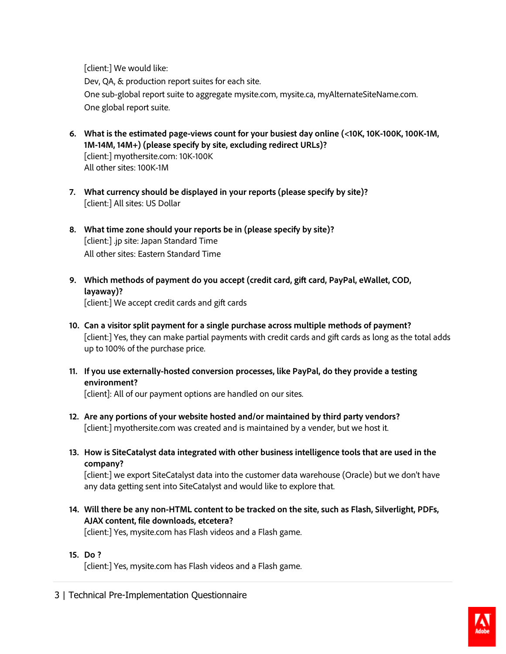[client:] We would like: Dev, QA, & production report suites for each site. One sub-global report suite to aggregate mysite.com, mysite.ca, myAlternateSiteName.com. One global report suite.

- **6. What is the estimated page-views count for your busiest day online (<10K, 10K-100K, 100K-1M, 1M-14M, 14M+) (please specify by site, excluding redirect URLs)?**  [client:] myothersite.com: 10K-100K All other sites: 100K-1M
- **7. What currency should be displayed in your reports (please specify by site)?** [client:] All sites: US Dollar
- **8. What time zone should your reports be in (please specify by site)?** [client:] .jp site: Japan Standard Time All other sites: Eastern Standard Time
- **9. Which methods of payment do you accept (credit card, gift card, PayPal, eWallet, COD, layaway)?**

[client:] We accept credit cards and gift cards

- **10. Can a visitor split payment for a single purchase across multiple methods of payment?** [client:] Yes, they can make partial payments with credit cards and gift cards as long as the total adds up to 100% of the purchase price.
- **11. If you use externally-hosted conversion processes, like PayPal, do they provide a testing environment?**

[client]: All of our payment options are handled on our sites.

- **12. Are any portions of your website hosted and/or maintained by third party vendors?** [client:] myothersite.com was created and is maintained by a vender, but we host it.
- **13. How is SiteCatalyst data integrated with other business intelligence tools that are used in the company?**

[client:] we export SiteCatalyst data into the customer data warehouse (Oracle) but we don't have any data getting sent into SiteCatalyst and would like to explore that.

**14. Will there be any non-HTML content to be tracked on the site, such as Flash, Silverlight, PDFs, AJAX content, file downloads, etcetera?**

[client:] Yes, mysite.com has Flash videos and a Flash game.

**15. Do ?**

[client:] Yes, mysite.com has Flash videos and a Flash game.

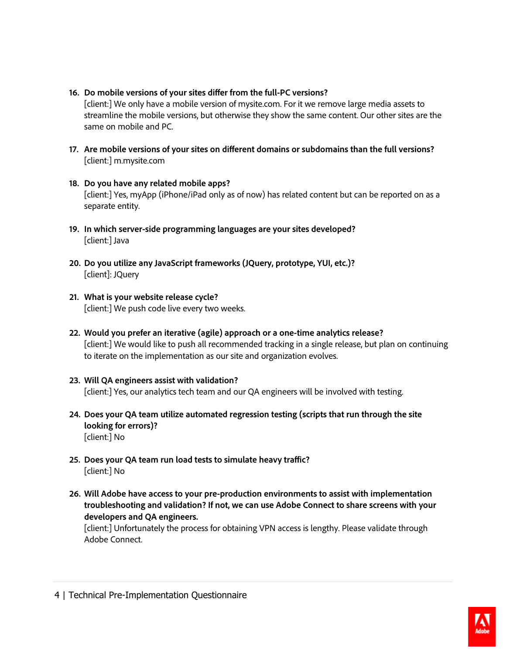**16. Do mobile versions of your sites differ from the full-PC versions?**

[client:] We only have a mobile version of mysite.com. For it we remove large media assets to streamline the mobile versions, but otherwise they show the same content. Our other sites are the same on mobile and PC.

- **17. Are mobile versions of your sites on different domains or subdomains than the full versions?** [client:] m.mysite.com
- **18. Do you have any related mobile apps?** [client:] Yes, myApp (iPhone/iPad only as of now) has related content but can be reported on as a separate entity.
- **19. In which server-side programming languages are your sites developed?** [client:] Java
- **20. Do you utilize any JavaScript frameworks (JQuery, prototype, YUI, etc.)?** [client]: JQuery
- **21. What is your website release cycle?** [client:] We push code live every two weeks.
- **22. Would you prefer an iterative (agile) approach or a one-time analytics release?** [client:] We would like to push all recommended tracking in a single release, but plan on continuing to iterate on the implementation as our site and organization evolves.
- **23. Will QA engineers assist with validation?** [client:] Yes, our analytics tech team and our QA engineers will be involved with testing.
- **24. Does your QA team utilize automated regression testing (scripts that run through the site looking for errors)?** [client:] No
- **25. Does your QA team run load tests to simulate heavy traffic?** [client:] No
- **26. Will Adobe have access to your pre-production environments to assist with implementation troubleshooting and validation? If not, we can use Adobe Connect to share screens with your developers and QA engineers.**

[client:] Unfortunately the process for obtaining VPN access is lengthy. Please validate through Adobe Connect.